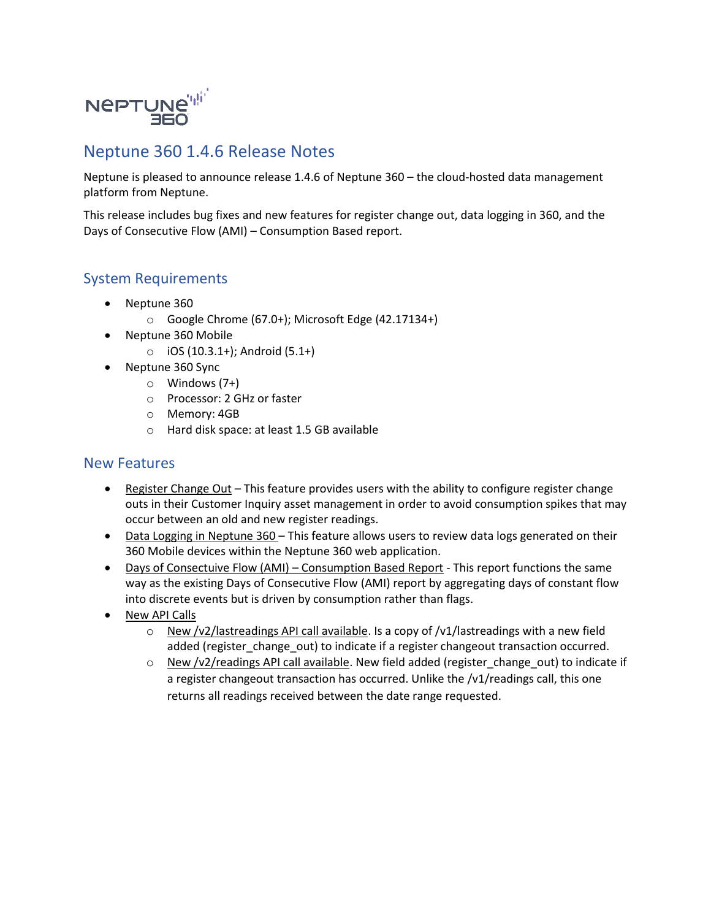

## Neptune 360 1.4.6 Release Notes

Neptune is pleased to announce release 1.4.6 of Neptune 360 – the cloud-hosted data management platform from Neptune.

This release includes bug fixes and new features for register change out, data logging in 360, and the Days of Consecutive Flow (AMI) – Consumption Based report.

## System Requirements

- Neptune 360
	- o Google Chrome (67.0+); Microsoft Edge (42.17134+)
- Neptune 360 Mobile
	- $\circ$  iOS (10.3.1+); Android (5.1+)
- Neptune 360 Sync
	- o Windows (7+)
	- o Processor: 2 GHz or faster
	- o Memory: 4GB
	- o Hard disk space: at least 1.5 GB available

## New Features

- Register Change Out This feature provides users with the ability to configure register change outs in their Customer Inquiry asset management in order to avoid consumption spikes that may occur between an old and new register readings.
- Data Logging in Neptune 360 This feature allows users to review data logs generated on their 360 Mobile devices within the Neptune 360 web application.
- Days of Consectuive Flow (AMI) Consumption Based Report This report functions the same way as the existing Days of Consecutive Flow (AMI) report by aggregating days of constant flow into discrete events but is driven by consumption rather than flags.
- New API Calls
	- $\circ$  New /v2/lastreadings API call available. Is a copy of /v1/lastreadings with a new field added (register change out) to indicate if a register changeout transaction occurred.
	- $\circ$  New /v2/readings API call available. New field added (register\_change\_out) to indicate if a register changeout transaction has occurred. Unlike the /v1/readings call, this one returns all readings received between the date range requested.